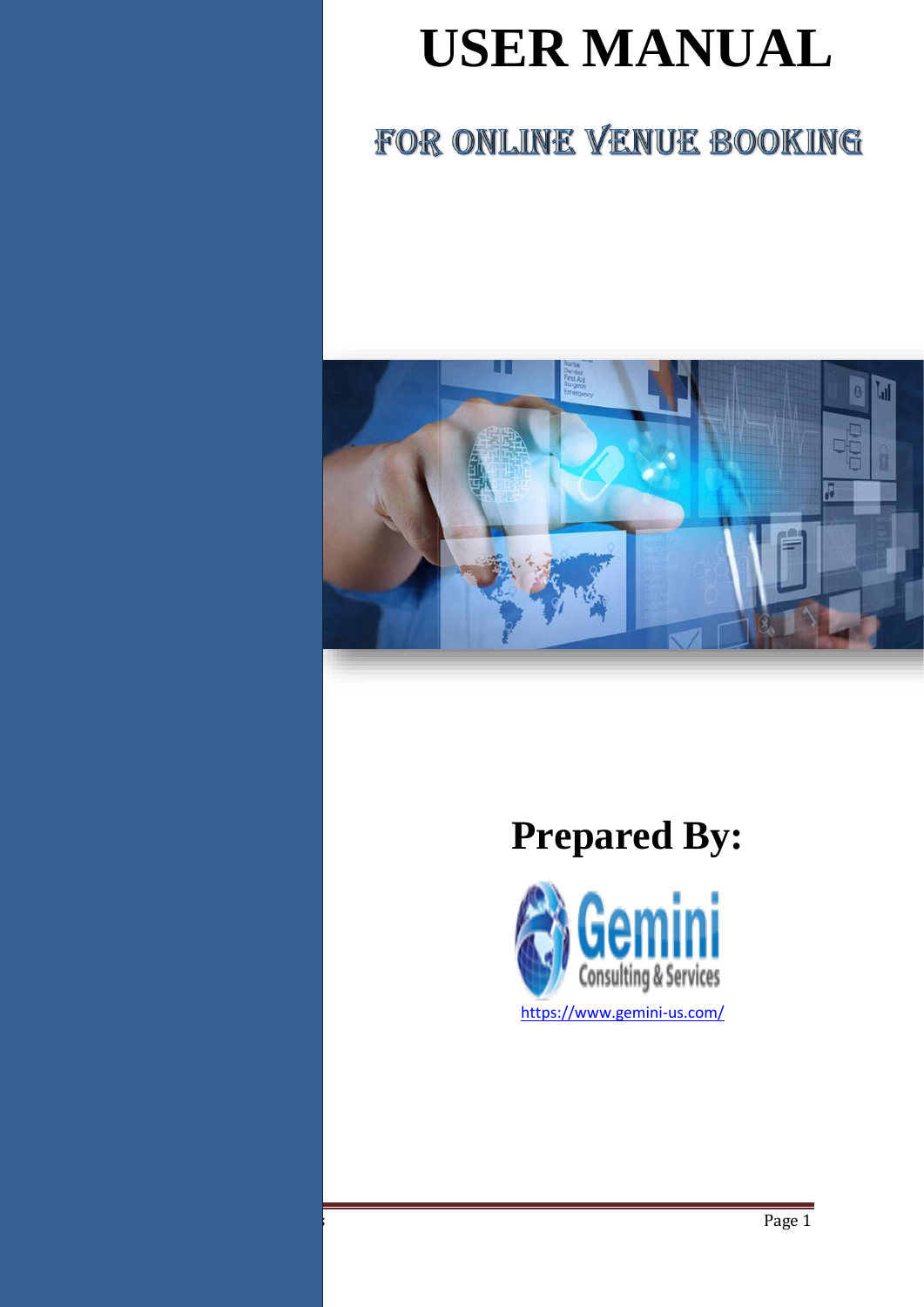# **USER MANUAL**

## FOR ONLINE VENUE BOOKING



# **Prepared By:**

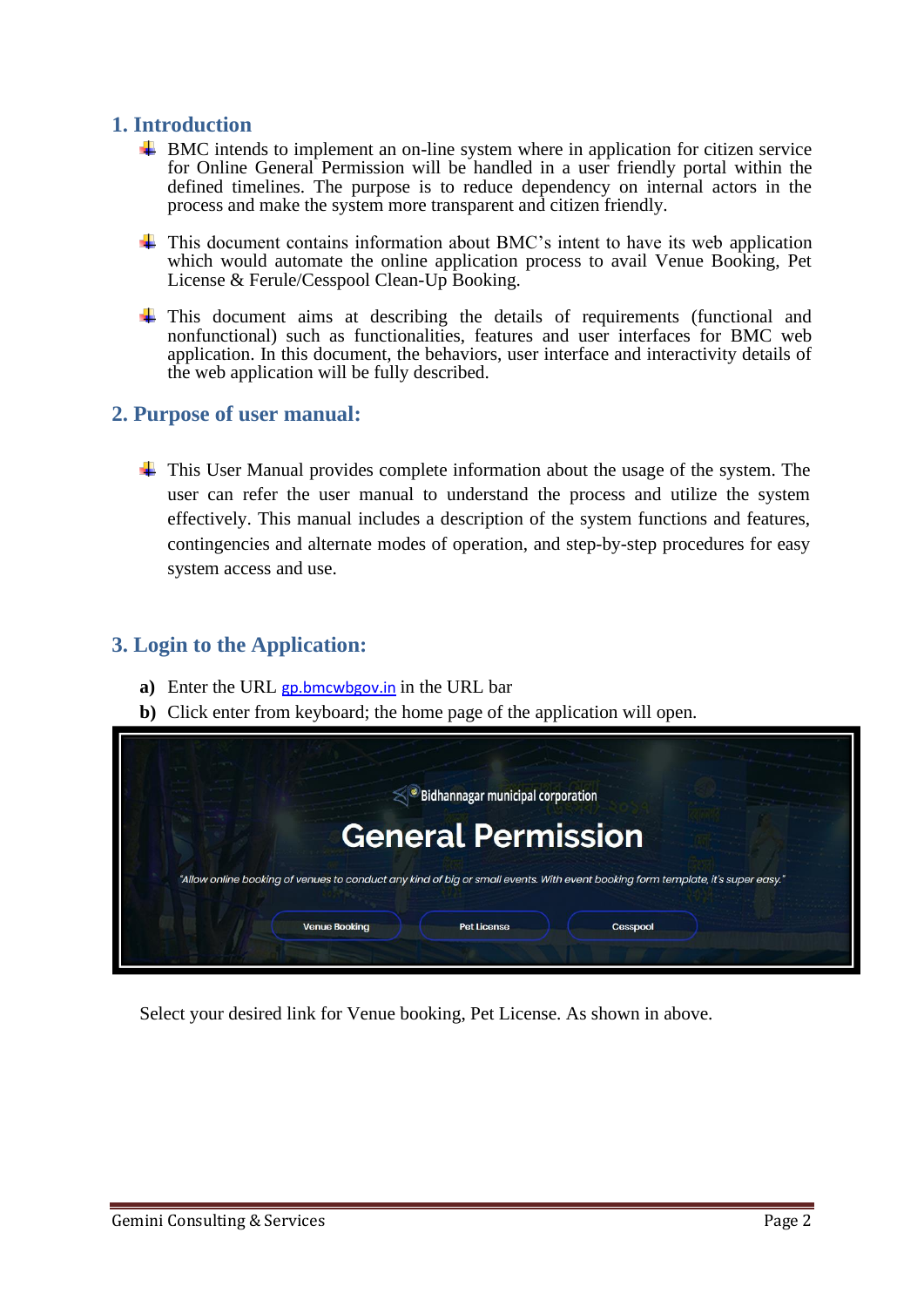### **1. Introduction**

- $\pm$  BMC intends to implement an on-line system where in application for citizen service for Online General Permission will be handled in a user friendly portal within the defined timelines. The purpose is to reduce dependency on internal actors in the process and make the system more transparent and citizen friendly.
- This document contains information about BMC's intent to have its web application which would automate the online application process to avail Venue Booking, Pet License & Ferule/Cesspool Clean-Up Booking.
- This document aims at describing the details of requirements (functional and nonfunctional) such as functionalities, features and user interfaces for BMC web application. In this document, the behaviors, user interface and interactivity details of the web application will be fully described.

#### **2. Purpose of user manual:**

This User Manual provides complete information about the usage of the system. The user can refer the user manual to understand the process and utilize the system effectively. This manual includes a description of the system functions and features, contingencies and alternate modes of operation, and step-by-step procedures for easy system access and use.

### **3. Login to the Application:**

- **a)** Enter the URL [gp.bmcwbgov.in](http://gp.bmcwbgov.in/) in the URL bar
- **b)** Click enter from keyboard; the home page of the application will open.



Select your desired link for Venue booking, Pet License. As shown in above.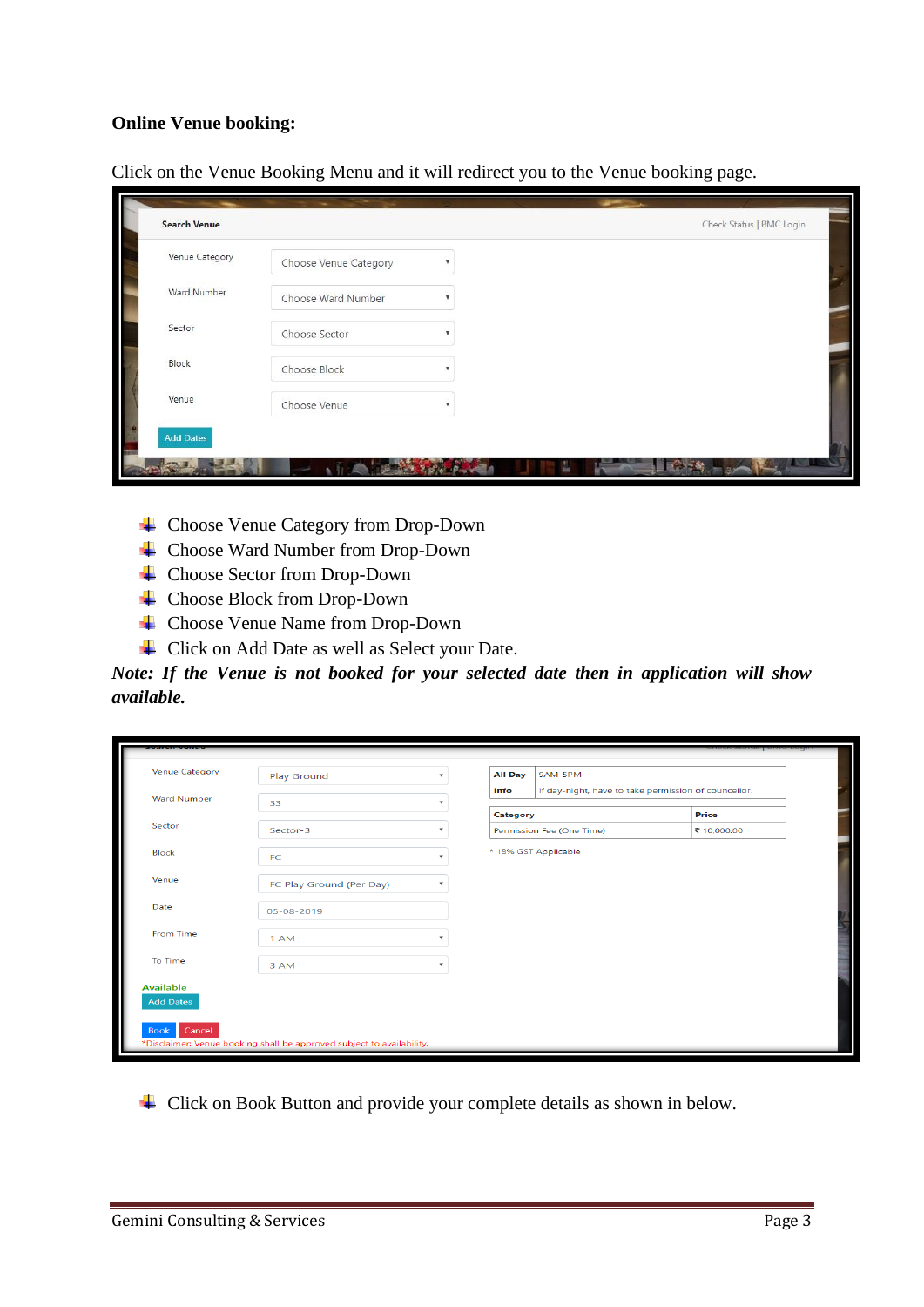#### **Online Venue booking:**

| Venue Category | Choose Venue Category |  |  |
|----------------|-----------------------|--|--|
| Ward Number    | Choose Ward Number    |  |  |
| Sector         | Choose Sector         |  |  |
| Block          | Choose Block          |  |  |
| Venue          | Choose Venue          |  |  |

Click on the Venue Booking Menu and it will redirect you to the Venue booking page.

- Choose Venue Category from Drop-Down
- Choose Ward Number from Drop-Down
- Choose Sector from Drop-Down
- Choose Block from Drop-Down
- Choose Venue Name from Drop-Down
- Click on Add Date as well as Select your Date.

*Note: If the Venue is not booked for your selected date then in application will show available.* 

| search venue          |                                                                       |         |                |                                                      | CHECK Status FDIVIC LOUIN |  |
|-----------------------|-----------------------------------------------------------------------|---------|----------------|------------------------------------------------------|---------------------------|--|
| <b>Venue Category</b> | Play Ground                                                           | ÷       | <b>All Day</b> | 9AM-5PM                                              |                           |  |
| <b>Ward Number</b>    | 33                                                                    |         | Info           | If day-night, have to take permission of councellor. |                           |  |
|                       |                                                                       |         | Category       |                                                      | Price                     |  |
| Sector                | Sector-3                                                              |         |                | Permission Fee (One Time)                            | ₹ 10,000.00               |  |
| <b>Block</b>          | <b>FC</b>                                                             |         |                | * 18% GST Applicable                                 |                           |  |
| Venue                 | FC Play Ground (Per Day)                                              |         |                |                                                      |                           |  |
| Date                  | 05-08-2019                                                            |         |                |                                                      |                           |  |
| From Time             | 1 AM                                                                  |         |                |                                                      |                           |  |
| To Time               | 3 AM                                                                  | $\cdot$ |                |                                                      |                           |  |
| <b>Available</b>      |                                                                       |         |                |                                                      |                           |  |
| <b>Add Dates</b>      |                                                                       |         |                |                                                      |                           |  |
| Cancel<br><b>Book</b> |                                                                       |         |                |                                                      |                           |  |
|                       | *Disclaimer: Venue booking shall be approved subject to availability. |         |                |                                                      |                           |  |

↓ Click on Book Button and provide your complete details as shown in below.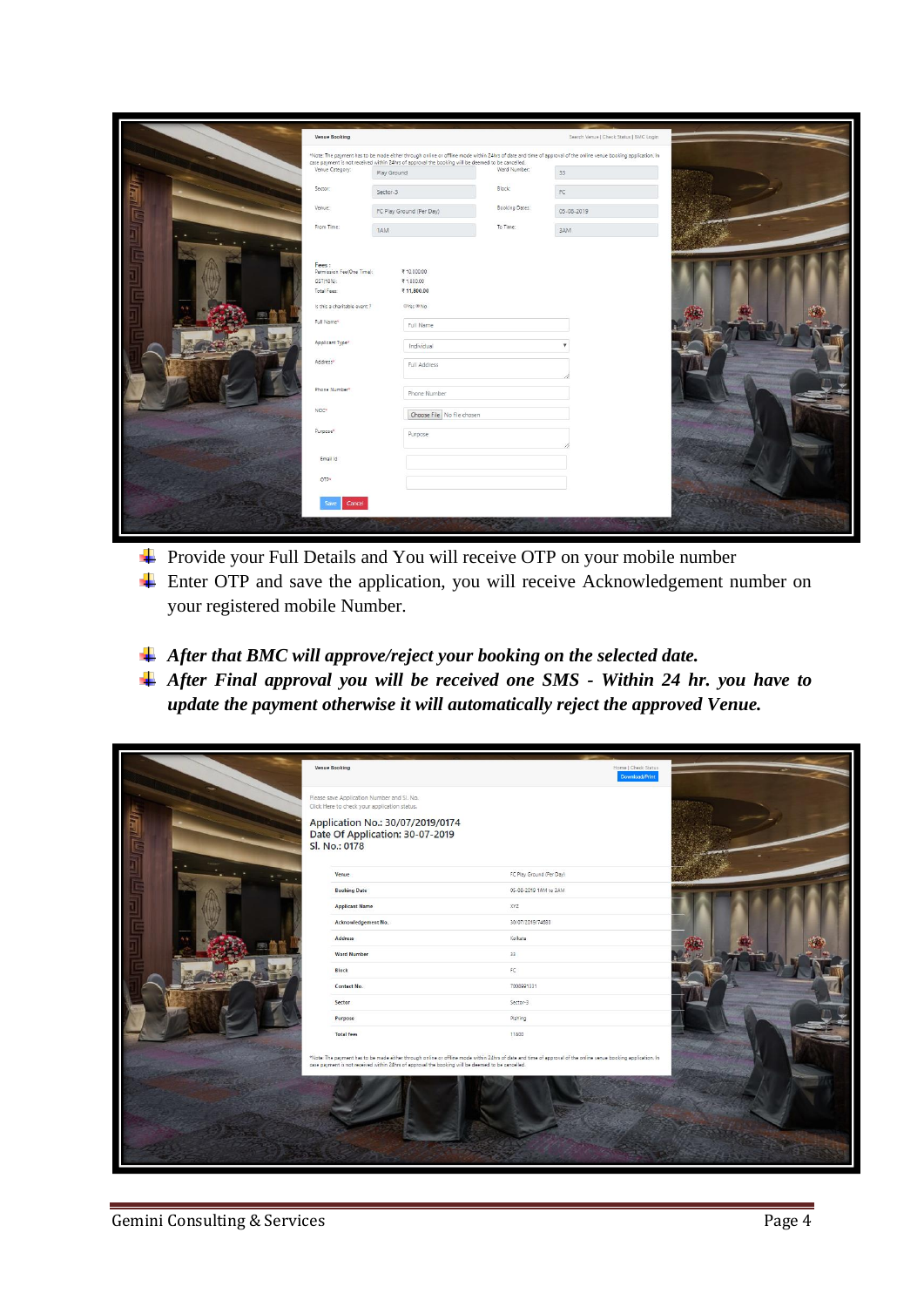|             | Venue Booking                      |                                                                                                   |                | Search Venue   Check Status   BMC Login                                                                                                                       |  |
|-------------|------------------------------------|---------------------------------------------------------------------------------------------------|----------------|---------------------------------------------------------------------------------------------------------------------------------------------------------------|--|
|             |                                    | case payment is not received within 24hrs of approval the booking will be deemed to be cancelled. |                | *Note: The payment has to be made either through online or offline mode within 24hrs of date and time of approval of the online venue booking application. In |  |
|             | Venue Category:                    | Play Ground                                                                                       | Ward Number:   | 33                                                                                                                                                            |  |
| <b>Trad</b> | Sector:                            | Sector-3                                                                                          | Block:         | FC                                                                                                                                                            |  |
|             | Venue:                             | FC Play Ground (Per Day)                                                                          | Booking Dates: | 05-08-2019                                                                                                                                                    |  |
|             | From Time:                         | 1AM                                                                                               | To Time:       | 3AM                                                                                                                                                           |  |
|             |                                    |                                                                                                   |                |                                                                                                                                                               |  |
|             | Fees:<br>Permission Fee(One Time): | ₹10,000.00                                                                                        |                |                                                                                                                                                               |  |
|             | GST(18%):                          | ₹1,800.00                                                                                         |                |                                                                                                                                                               |  |
|             | Total Fees:                        | ₹11,800.00                                                                                        |                |                                                                                                                                                               |  |
|             | Is this a charitable event?        | ©Yes ® No                                                                                         |                |                                                                                                                                                               |  |
|             | Full Name <sup>*</sup>             | Full Name                                                                                         |                |                                                                                                                                                               |  |
|             | Applicant Type*                    | Individual                                                                                        |                |                                                                                                                                                               |  |
|             | Address*                           | Full Address                                                                                      |                |                                                                                                                                                               |  |
|             | Phone Number*                      | Phone Number                                                                                      |                |                                                                                                                                                               |  |
|             | NOC*                               | Choose File No file chosen                                                                        |                |                                                                                                                                                               |  |
|             | Purpose <sup>x</sup>               | Purpose                                                                                           |                |                                                                                                                                                               |  |
|             | Email Id                           |                                                                                                   |                |                                                                                                                                                               |  |
|             | OTP*                               |                                                                                                   |                |                                                                                                                                                               |  |
|             | Cancel<br>Save                     |                                                                                                   |                |                                                                                                                                                               |  |
|             |                                    |                                                                                                   |                |                                                                                                                                                               |  |
|             |                                    |                                                                                                   |                |                                                                                                                                                               |  |

- ↓ Provide your Full Details and You will receive OTP on your mobile number
- ↓ Enter OTP and save the application, you will receive Acknowledgement number on your registered mobile Number.
- *After that BMC will approve/reject your booking on the selected date.*
- *After Final approval you will be received one SMS - Within 24 hr. you have to update the payment otherwise it will automatically reject the approved Venue.*

|                 | Venue Booking                                                                                                                                                                                                                                                      | Home   Check Status<br>Download/Print |  |
|-----------------|--------------------------------------------------------------------------------------------------------------------------------------------------------------------------------------------------------------------------------------------------------------------|---------------------------------------|--|
| $M_{\rm c,ell}$ | Please save Application Number and Sl. No.<br>Click Here to check your application status.<br>Application No.: 30/07/2019/0174<br>Date Of Application: 30-07-2019<br>Sl. No.: 0178                                                                                 |                                       |  |
|                 | Venue                                                                                                                                                                                                                                                              | FC Play Ground (Per Day)              |  |
|                 | <b>Booking Date</b>                                                                                                                                                                                                                                                | 05-08-2019 1AM to 3AM                 |  |
|                 | <b>Applicant Name</b>                                                                                                                                                                                                                                              | XYZ                                   |  |
|                 | Acknowledgement No.                                                                                                                                                                                                                                                | 30/07/2019/74680                      |  |
|                 | Address                                                                                                                                                                                                                                                            | Kolkata                               |  |
|                 | <b>Ward Number</b>                                                                                                                                                                                                                                                 | $33 -$                                |  |
|                 | <b>Block</b>                                                                                                                                                                                                                                                       | $\mathsf{FC}$                         |  |
|                 | Contact No.                                                                                                                                                                                                                                                        | 7008991331                            |  |
|                 | Sector                                                                                                                                                                                                                                                             | Sector-3                              |  |
|                 | Purpose                                                                                                                                                                                                                                                            | PlaYing                               |  |
|                 | <b>Total fees</b>                                                                                                                                                                                                                                                  | 11800                                 |  |
|                 | *Note: The payment has to be made either through online or offline mode within 24hrs of date and time of approval of the online venue booking application. In<br>case payment is not received within 24hrs of approval the booking will be deemed to be cancelled. |                                       |  |